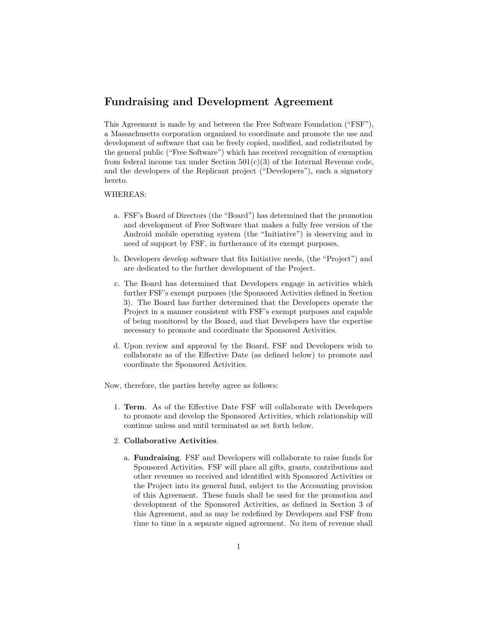## **Fundraising and Development Agreement**

This Agreement is made by and between the Free Software Foundation ("FSF"), a Massachusetts corporation organized to coordinate and promote the use and development of software that can be freely copied, modified, and redistributed by the general public ("Free Software") which has received recognition of exemption from federal income tax under Section  $501(c)(3)$  of the Internal Revenue code, and the developers of the Replicant project ("Developers"), each a signatory hereto.

## WHEREAS:

- a. FSF's Board of Directors (the "Board") has determined that the promotion and development of Free Software that makes a fully free version of the Android mobile operating system (the "Initiative") is deserving and in need of support by FSF, in furtherance of its exempt purposes.
- b. Developers develop software that fits Initiative needs, (the "Project") and are dedicated to the further development of the Project.
- c. The Board has determined that Developers engage in activities which further FSF's exempt purposes (the Sponsored Activities defined in Section 3). The Board has further determined that the Developers operate the Project in a manner consistent with FSF's exempt purposes and capable of being monitored by the Board, and that Developers have the expertise necessary to promote and coordinate the Sponsored Activities.
- d. Upon review and approval by the Board, FSF and Developers wish to collaborate as of the Effective Date (as defined below) to promote and coordinate the Sponsored Activities.

Now, therefore, the parties hereby agree as follows:

1. **Term**. As of the Effective Date FSF will collaborate with Developers to promote and develop the Sponsored Activities, which relationship will continue unless and until terminated as set forth below.

## 2. **Collaborative Activities**.

a. **Fundraising**. FSF and Developers will collaborate to raise funds for Sponsored Activities. FSF will place all gifts, grants, contributions and other revenues so received and identified with Sponsored Activities or the Project into its general fund, subject to the Accounting provision of this Agreement. These funds shall be used for the promotion and development of the Sponsored Activities, as defined in Section 3 of this Agreement, and as may be redefined by Developers and FSF from time to time in a separate signed agreement. No item of revenue shall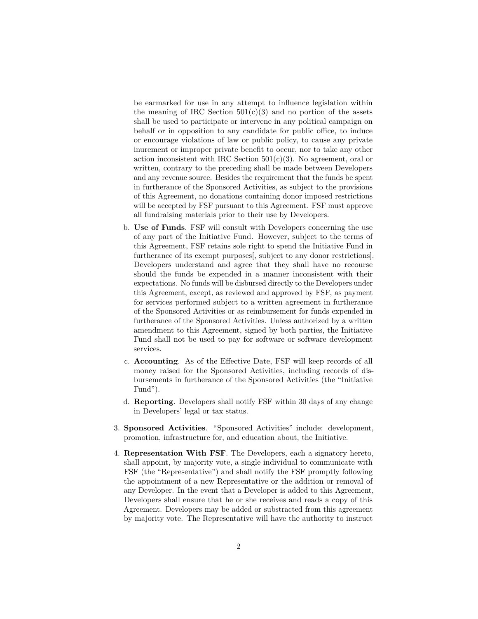be earmarked for use in any attempt to influence legislation within the meaning of IRC Section  $501(c)(3)$  and no portion of the assets shall be used to participate or intervene in any political campaign on behalf or in opposition to any candidate for public office, to induce or encourage violations of law or public policy, to cause any private inurement or improper private benefit to occur, nor to take any other action inconsistent with IRC Section  $501(c)(3)$ . No agreement, oral or written, contrary to the preceding shall be made between Developers and any revenue source. Besides the requirement that the funds be spent in furtherance of the Sponsored Activities, as subject to the provisions of this Agreement, no donations containing donor imposed restrictions will be accepted by FSF pursuant to this Agreement. FSF must approve all fundraising materials prior to their use by Developers.

- b. **Use of Funds**. FSF will consult with Developers concerning the use of any part of the Initiative Fund. However, subject to the terms of this Agreement, FSF retains sole right to spend the Initiative Fund in furtherance of its exempt purposes[, subject to any donor restrictions]. Developers understand and agree that they shall have no recourse should the funds be expended in a manner inconsistent with their expectations. No funds will be disbursed directly to the Developers under this Agreement, except, as reviewed and approved by FSF, as payment for services performed subject to a written agreement in furtherance of the Sponsored Activities or as reimbursement for funds expended in furtherance of the Sponsored Activities. Unless authorized by a written amendment to this Agreement, signed by both parties, the Initiative Fund shall not be used to pay for software or software development services.
- c. **Accounting**. As of the Effective Date, FSF will keep records of all money raised for the Sponsored Activities, including records of disbursements in furtherance of the Sponsored Activities (the "Initiative Fund").
- d. **Reporting**. Developers shall notify FSF within 30 days of any change in Developers' legal or tax status.
- 3. **Sponsored Activities**. "Sponsored Activities" include: development, promotion, infrastructure for, and education about, the Initiative.
- 4. **Representation With FSF**. The Developers, each a signatory hereto, shall appoint, by majority vote, a single individual to communicate with FSF (the "Representative") and shall notify the FSF promptly following the appointment of a new Representative or the addition or removal of any Developer. In the event that a Developer is added to this Agreement, Developers shall ensure that he or she receives and reads a copy of this Agreement. Developers may be added or substracted from this agreement by majority vote. The Representative will have the authority to instruct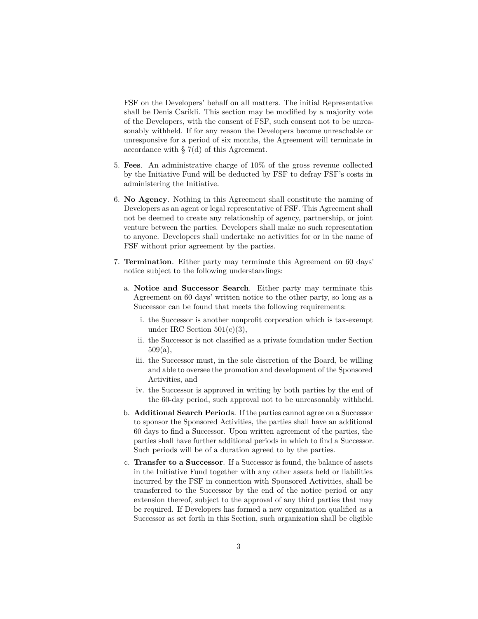FSF on the Developers' behalf on all matters. The initial Representative shall be Denis Carikli. This section may be modified by a majority vote of the Developers, with the consent of FSF, such consent not to be unreasonably withheld. If for any reason the Developers become unreachable or unresponsive for a period of six months, the Agreement will terminate in accordance with § 7(d) of this Agreement.

- 5. **Fees**. An administrative charge of 10% of the gross revenue collected by the Initiative Fund will be deducted by FSF to defray FSF's costs in administering the Initiative.
- 6. **No Agency**. Nothing in this Agreement shall constitute the naming of Developers as an agent or legal representative of FSF. This Agreement shall not be deemed to create any relationship of agency, partnership, or joint venture between the parties. Developers shall make no such representation to anyone. Developers shall undertake no activities for or in the name of FSF without prior agreement by the parties.
- 7. **Termination**. Either party may terminate this Agreement on 60 days' notice subject to the following understandings:
	- a. **Notice and Successor Search**. Either party may terminate this Agreement on 60 days' written notice to the other party, so long as a Successor can be found that meets the following requirements:
		- i. the Successor is another nonprofit corporation which is tax-exempt under IRC Section  $501(c)(3)$ ,
		- ii. the Successor is not classified as a private foundation under Section 509(a),
		- iii. the Successor must, in the sole discretion of the Board, be willing and able to oversee the promotion and development of the Sponsored Activities, and
		- iv. the Successor is approved in writing by both parties by the end of the 60-day period, such approval not to be unreasonably withheld.
	- b. **Additional Search Periods**. If the parties cannot agree on a Successor to sponsor the Sponsored Activities, the parties shall have an additional 60 days to find a Successor. Upon written agreement of the parties, the parties shall have further additional periods in which to find a Successor. Such periods will be of a duration agreed to by the parties.
	- c. **Transfer to a Successor**. If a Successor is found, the balance of assets in the Initiative Fund together with any other assets held or liabilities incurred by the FSF in connection with Sponsored Activities, shall be transferred to the Successor by the end of the notice period or any extension thereof, subject to the approval of any third parties that may be required. If Developers has formed a new organization qualified as a Successor as set forth in this Section, such organization shall be eligible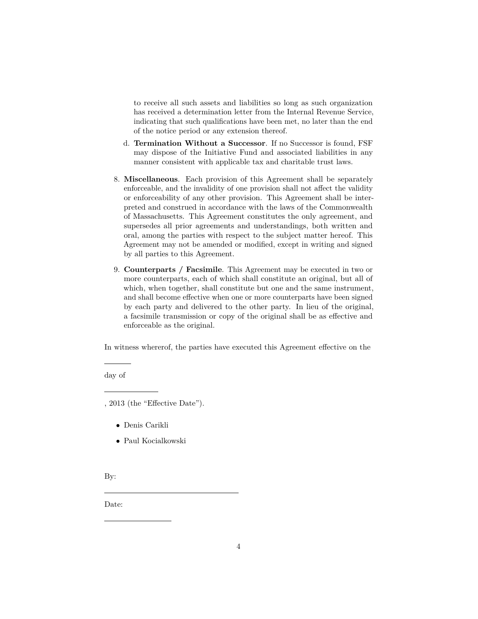to receive all such assets and liabilities so long as such organization has received a determination letter from the Internal Revenue Service, indicating that such qualifications have been met, no later than the end of the notice period or any extension thereof.

- d. **Termination Without a Successor**. If no Successor is found, FSF may dispose of the Initiative Fund and associated liabilities in any manner consistent with applicable tax and charitable trust laws.
- 8. **Miscellaneous**. Each provision of this Agreement shall be separately enforceable, and the invalidity of one provision shall not affect the validity or enforceability of any other provision. This Agreement shall be interpreted and construed in accordance with the laws of the Commonwealth of Massachusetts. This Agreement constitutes the only agreement, and supersedes all prior agreements and understandings, both written and oral, among the parties with respect to the subject matter hereof. This Agreement may not be amended or modified, except in writing and signed by all parties to this Agreement.
- 9. **Counterparts / Facsimile**. This Agreement may be executed in two or more counterparts, each of which shall constitute an original, but all of which, when together, shall constitute but one and the same instrument, and shall become effective when one or more counterparts have been signed by each party and delivered to the other party. In lieu of the original, a facsimile transmission or copy of the original shall be as effective and enforceable as the original.

In witness whererof, the parties have executed this Agreement effective on the

day of

- Denis Carikli
- Paul Kocialkowski

By:

Date:

<sup>, 2013 (</sup>the "Effective Date").